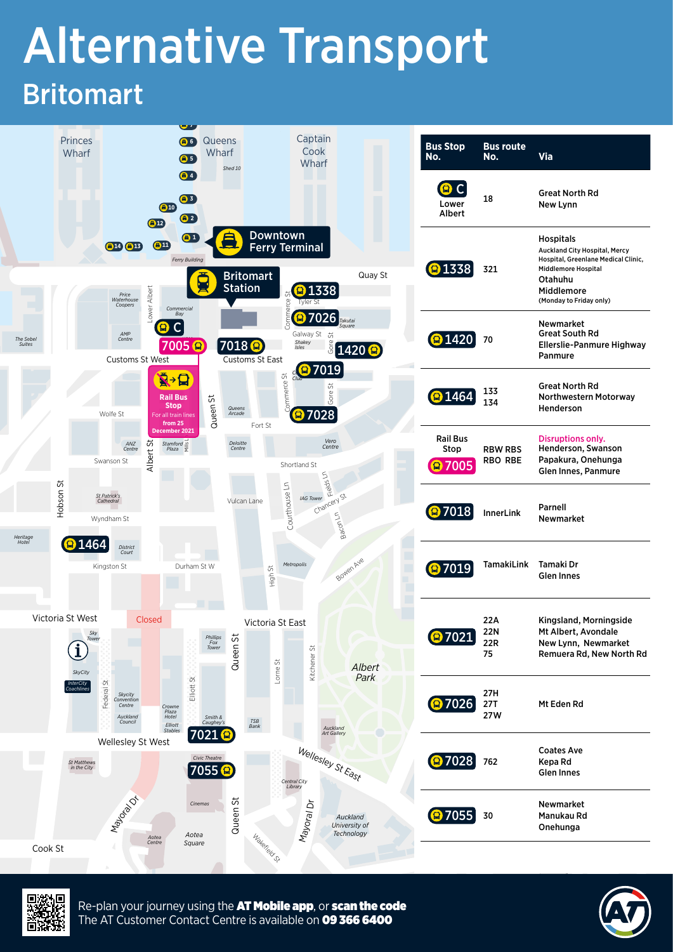## Alternative Transport Britomart





Re-plan your journey using the AT Mobile app, or scan the code The AT Customer Contact Centre is available on 09 366 6400